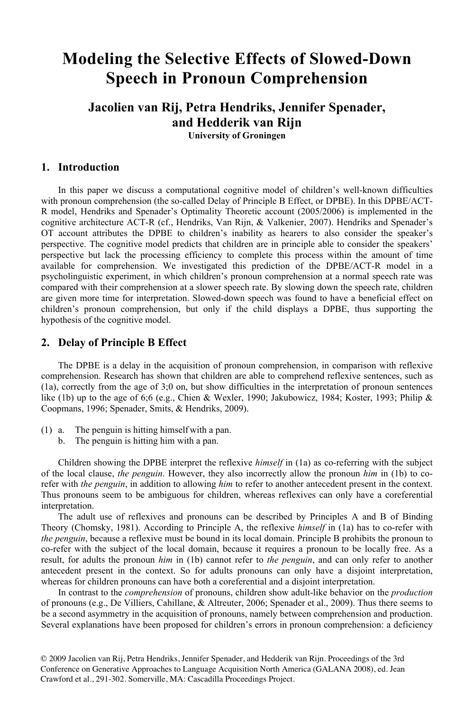# **Modeling the Selective Effects of Slowed-Down Speech in Pronoun Comprehension**

# **Jacolien van Rij, Petra Hendriks, Jennifer Spenader, and Hedderik van Rijn University of Groningen**

#### **1. Introduction**

In this paper we discuss a computational cognitive model of children's well-known difficulties with pronoun comprehension (the so-called Delay of Principle B Effect, or DPBE). In this DPBE/ACT-R model, Hendriks and Spenader's Optimality Theoretic account (2005/2006) is implemented in the cognitive architecture ACT-R (cf., Hendriks, Van Rijn, & Valkenier, 2007). Hendriks and Spenader's OT account attributes the DPBE to children's inability as hearers to also consider the speaker's perspective. The cognitive model predicts that children are in principle able to consider the speakers' perspective but lack the processing efficiency to complete this process within the amount of time available for comprehension. We investigated this prediction of the DPBE/ACT-R model in a psycholinguistic experiment, in which children's pronoun comprehension at a normal speech rate was compared with their comprehension at a slower speech rate. By slowing down the speech rate, children are given more time for interpretation. Slowed-down speech was found to have a beneficial effect on children's pronoun comprehension, but only if the child displays a DPBE, thus supporting the hypothesis of the cognitive model.

#### **2. Delay of Principle B Effect**

The DPBE is a delay in the acquisition of pronoun comprehension, in comparison with reflexive comprehension. Research has shown that children are able to comprehend reflexive sentences, such as (1a), correctly from the age of 3;0 on, but show difficulties in the interpretation of pronoun sentences like (1b) up to the age of 6;6 (e.g., Chien & Wexler, 1990; Jakubowicz, 1984; Koster, 1993; Philip & Coopmans, 1996; Spenader, Smits, & Hendriks, 2009).

- (1) a. The penguin is hitting himself with a pan.
	- b. The penguin is hitting him with a pan.

Children showing the DPBE interpret the reflexive *himself* in (1a) as co-referring with the subject of the local clause, *the penguin*. However, they also incorrectly allow the pronoun *him* in (1b) to corefer with *the penguin*, in addition to allowing *him* to refer to another antecedent present in the context. Thus pronouns seem to be ambiguous for children, whereas reflexives can only have a coreferential interpretation.

The adult use of reflexives and pronouns can be described by Principles A and B of Binding Theory (Chomsky, 1981). According to Principle A, the reflexive *himself* in (1a) has to co-refer with *the penguin*, because a reflexive must be bound in its local domain. Principle B prohibits the pronoun to co-refer with the subject of the local domain, because it requires a pronoun to be locally free. As a result, for adults the pronoun *him* in (1b) cannot refer to *the penguin*, and can only refer to another antecedent present in the context. So for adults pronouns can only have a disjoint interpretation, whereas for children pronouns can have both a coreferential and a disjoint interpretation.

In contrast to the *comprehension* of pronouns, children show adult-like behavior on the *production* of pronouns (e.g., De Villiers, Cahillane, & Altreuter, 2006; Spenader et al., 2009). Thus there seems to be a second asymmetry in the acquisition of pronouns, namely between comprehension and production. Several explanations have been proposed for children's errors in pronoun comprehension: a deficiency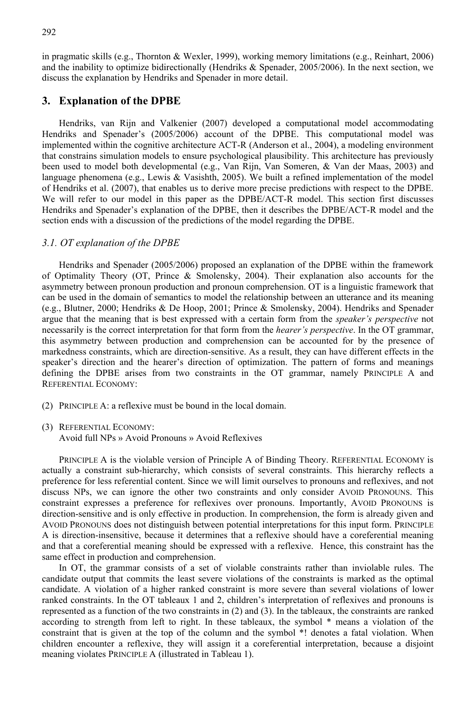in pragmatic skills (e.g., Thornton & Wexler, 1999), working memory limitations (e.g., Reinhart, 2006) and the inability to optimize bidirectionally (Hendriks  $\&$  Spenader, 2005/2006). In the next section, we discuss the explanation by Hendriks and Spenader in more detail.

### **3. Explanation of the DPBE**

Hendriks, van Rijn and Valkenier (2007) developed a computational model accommodating Hendriks and Spenader's (2005/2006) account of the DPBE. This computational model was implemented within the cognitive architecture ACT-R (Anderson et al., 2004), a modeling environment that constrains simulation models to ensure psychological plausibility. This architecture has previously been used to model both developmental (e.g., Van Rijn, Van Someren, & Van der Maas, 2003) and language phenomena (e.g., Lewis & Vasishth, 2005). We built a refined implementation of the model of Hendriks et al. (2007), that enables us to derive more precise predictions with respect to the DPBE. We will refer to our model in this paper as the DPBE/ACT-R model. This section first discusses Hendriks and Spenader's explanation of the DPBE, then it describes the DPBE/ACT-R model and the section ends with a discussion of the predictions of the model regarding the DPBE.

#### *3.1. OT explanation of the DPBE*

Hendriks and Spenader (2005/2006) proposed an explanation of the DPBE within the framework of Optimality Theory (OT, Prince & Smolensky, 2004). Their explanation also accounts for the asymmetry between pronoun production and pronoun comprehension. OT is a linguistic framework that can be used in the domain of semantics to model the relationship between an utterance and its meaning (e.g., Blutner, 2000; Hendriks & De Hoop, 2001; Prince & Smolensky, 2004). Hendriks and Spenader argue that the meaning that is best expressed with a certain form from the *speaker's perspective* not necessarily is the correct interpretation for that form from the *hearer's perspective*. In the OT grammar, this asymmetry between production and comprehension can be accounted for by the presence of markedness constraints, which are direction-sensitive. As a result, they can have different effects in the speaker's direction and the hearer's direction of optimization. The pattern of forms and meanings defining the DPBE arises from two constraints in the OT grammar, namely PRINCIPLE A and REFERENTIAL ECONOMY:

- (2) PRINCIPLE A: a reflexive must be bound in the local domain.
- (3) REFERENTIAL ECONOMY: Avoid full NPs » Avoid Pronouns » Avoid Reflexives

PRINCIPLE A is the violable version of Principle A of Binding Theory. REFERENTIAL ECONOMY is actually a constraint sub-hierarchy, which consists of several constraints. This hierarchy reflects a preference for less referential content. Since we will limit ourselves to pronouns and reflexives, and not discuss NPs, we can ignore the other two constraints and only consider AVOID PRONOUNS. This constraint expresses a preference for reflexives over pronouns. Importantly, AVOID PRONOUNS is direction-sensitive and is only effective in production. In comprehension, the form is already given and AVOID PRONOUNS does not distinguish between potential interpretations for this input form. PRINCIPLE A is direction-insensitive, because it determines that a reflexive should have a coreferential meaning and that a coreferential meaning should be expressed with a reflexive. Hence, this constraint has the same effect in production and comprehension.

In OT, the grammar consists of a set of violable constraints rather than inviolable rules. The candidate output that commits the least severe violations of the constraints is marked as the optimal candidate. A violation of a higher ranked constraint is more severe than several violations of lower ranked constraints. In the OT tableaux 1 and 2, children's interpretation of reflexives and pronouns is represented as a function of the two constraints in (2) and (3). In the tableaux, the constraints are ranked according to strength from left to right. In these tableaux, the symbol \* means a violation of the constraint that is given at the top of the column and the symbol \*! denotes a fatal violation. When children encounter a reflexive, they will assign it a coreferential interpretation, because a disjoint meaning violates PRINCIPLE A (illustrated in Tableau 1).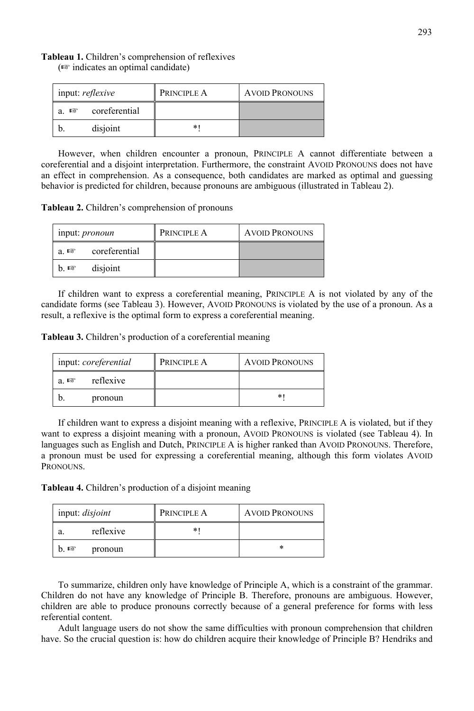| input: reflexive |               | PRINCIPLE A | <b>AVOID PRONOUNS</b> |
|------------------|---------------|-------------|-----------------------|
| 隐<br>a.          | coreferential |             |                       |
|                  | disjoint      | $\ast$      |                       |

However, when children encounter a pronoun, PRINCIPLE A cannot differentiate between a coreferential and a disjoint interpretation. Furthermore, the constraint AVOID PRONOUNS does not have an effect in comprehension. As a consequence, both candidates are marked as optimal and guessing behavior is predicted for children, because pronouns are ambiguous (illustrated in Tableau 2).

**Tableau 2.** Children's comprehension of pronouns

**Tableau 1.** Children's comprehension of reflexives (☞ indicates an optimal candidate)

| input: <i>pronoun</i>             | PRINCIPLE A | <b>AVOID PRONOUNS</b> |
|-----------------------------------|-------------|-----------------------|
| coreferential<br>$a \n\mathbb{R}$ |             |                       |
| disjoint<br>h. nsr                |             |                       |

If children want to express a coreferential meaning, PRINCIPLE A is not violated by any of the candidate forms (see Tableau 3). However, AVOID PRONOUNS is violated by the use of a pronoun. As a result, a reflexive is the optimal form to express a coreferential meaning.

**Tableau 3.** Children's production of a coreferential meaning

| input: coreferential |           | PRINCIPLE A | <b>AVOID PRONOUNS</b> |
|----------------------|-----------|-------------|-----------------------|
| a ner                | reflexive |             |                       |
|                      | pronoun   |             | *                     |

If children want to express a disjoint meaning with a reflexive, PRINCIPLE A is violated, but if they want to express a disjoint meaning with a pronoun, AVOID PRONOUNS is violated (see Tableau 4). In languages such as English and Dutch, PRINCIPLE A is higher ranked than AVOID PRONOUNS. Therefore, a pronoun must be used for expressing a coreferential meaning, although this form violates AVOID PRONOUNS.

**Tableau 4.** Children's production of a disjoint meaning

| input: disjoint |           | PRINCIPLE A | <b>AVOID PRONOUNS</b> |
|-----------------|-----------|-------------|-----------------------|
|                 | reflexive |             |                       |
| b. rङ           | pronoun   |             |                       |

To summarize, children only have knowledge of Principle A, which is a constraint of the grammar. Children do not have any knowledge of Principle B. Therefore, pronouns are ambiguous. However, children are able to produce pronouns correctly because of a general preference for forms with less referential content.

Adult language users do not show the same difficulties with pronoun comprehension that children have. So the crucial question is: how do children acquire their knowledge of Principle B? Hendriks and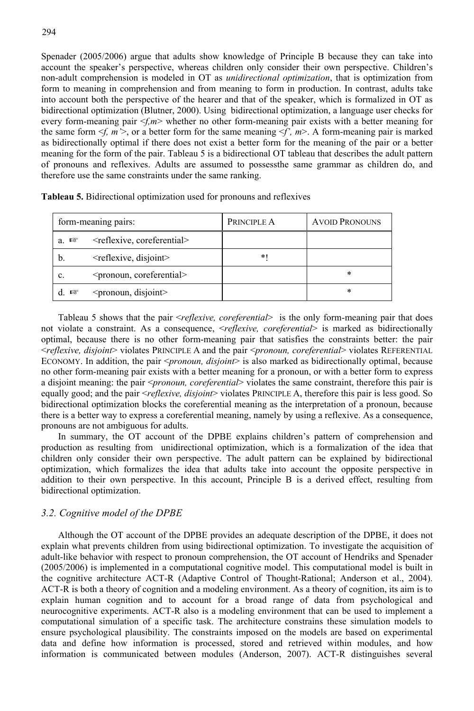Spenader (2005/2006) argue that adults show knowledge of Principle B because they can take into account the speaker's perspective, whereas children only consider their own perspective. Children's non-adult comprehension is modeled in OT as *unidirectional optimization*, that is optimization from form to meaning in comprehension and from meaning to form in production. In contrast, adults take into account both the perspective of the hearer and that of the speaker, which is formalized in OT as bidirectional optimization (Blutner, 2000). Using bidirectional optimization, a language user checks for every form-meaning pair  $\leq f, m$  whether no other form-meaning pair exists with a better meaning for the same form  $\leq f$ ,  $m$   $\geq$ , or a better form for the same meaning  $\leq f'$ ,  $m$  $\geq$ . A form-meaning pair is marked as bidirectionally optimal if there does not exist a better form for the meaning of the pair or a better meaning for the form of the pair. Tableau 5 is a bidirectional OT tableau that describes the adult pattern of pronouns and reflexives. Adults are assumed to possessthe same grammar as children do, and therefore use the same constraints under the same ranking.

| form-meaning pairs: |                                            | PRINCIPLE A | <b>AVOID PRONOUNS</b> |
|---------------------|--------------------------------------------|-------------|-----------------------|
| a. ¤∛               | <reflexive, coreferential=""></reflexive,> |             |                       |
| $\mathfrak{b}$ .    | $\leq$ reflexive, disjoint $\geq$          | $*1$        |                       |
| c.                  | <pronoun, coreferential=""></pronoun,>     |             | $\ast$                |
| 暖                   | <pronoun, disjoint=""></pronoun,>          |             | $\ast$                |

**Tableau 5.** Bidirectional optimization used for pronouns and reflexives

Tableau 5 shows that the pair <*reflexive, coreferential*> is the only form-meaning pair that does not violate a constraint. As a consequence, <*reflexive, coreferential*> is marked as bidirectionally optimal, because there is no other form-meaning pair that satisfies the constraints better: the pair <*reflexive, disjoint*> violates PRINCIPLE A and the pair <*pronoun, coreferential*> violates REFERENTIAL ECONOMY. In addition, the pair <*pronoun, disjoint*> is also marked as bidirectionally optimal, because no other form-meaning pair exists with a better meaning for a pronoun, or with a better form to express a disjoint meaning: the pair <*pronoun, coreferential*> violates the same constraint, therefore this pair is equally good; and the pair <*reflexive, disjoint*> violates PRINCIPLE A, therefore this pair is less good. So bidirectional optimization blocks the coreferential meaning as the interpretation of a pronoun, because there is a better way to express a coreferential meaning, namely by using a reflexive. As a consequence, pronouns are not ambiguous for adults.

In summary, the OT account of the DPBE explains children's pattern of comprehension and production as resulting from unidirectional optimization, which is a formalization of the idea that children only consider their own perspective. The adult pattern can be explained by bidirectional optimization, which formalizes the idea that adults take into account the opposite perspective in addition to their own perspective. In this account, Principle B is a derived effect, resulting from bidirectional optimization.

#### *3.2. Cognitive model of the DPBE*

Although the OT account of the DPBE provides an adequate description of the DPBE, it does not explain what prevents children from using bidirectional optimization. To investigate the acquisition of adult-like behavior with respect to pronoun comprehension, the OT account of Hendriks and Spenader (2005/2006) is implemented in a computational cognitive model. This computational model is built in the cognitive architecture ACT-R (Adaptive Control of Thought-Rational; Anderson et al., 2004). ACT-R is both a theory of cognition and a modeling environment. As a theory of cognition, its aim is to explain human cognition and to account for a broad range of data from psychological and neurocognitive experiments. ACT-R also is a modeling environment that can be used to implement a computational simulation of a specific task. The architecture constrains these simulation models to ensure psychological plausibility. The constraints imposed on the models are based on experimental data and define how information is processed, stored and retrieved within modules, and how information is communicated between modules (Anderson, 2007). ACT-R distinguishes several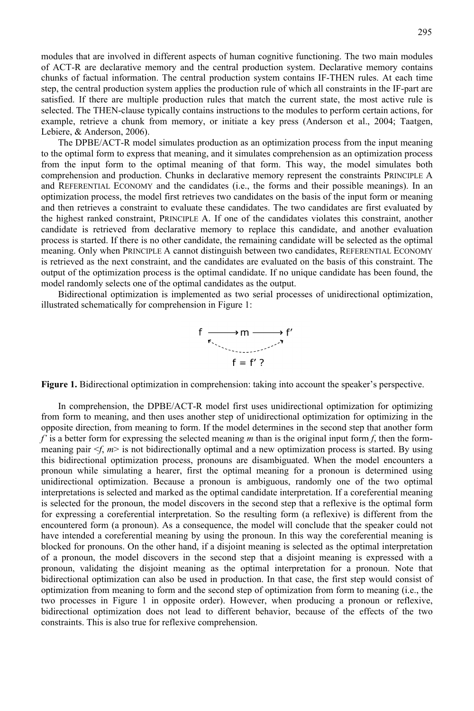modules that are involved in different aspects of human cognitive functioning. The two main modules of ACT-R are declarative memory and the central production system. Declarative memory contains chunks of factual information. The central production system contains IF-THEN rules. At each time step, the central production system applies the production rule of which all constraints in the IF-part are satisfied. If there are multiple production rules that match the current state, the most active rule is selected. The THEN-clause typically contains instructions to the modules to perform certain actions, for example, retrieve a chunk from memory, or initiate a key press (Anderson et al., 2004; Taatgen, Lebiere, & Anderson, 2006).

The DPBE/ACT-R model simulates production as an optimization process from the input meaning to the optimal form to express that meaning, and it simulates comprehension as an optimization process from the input form to the optimal meaning of that form. This way, the model simulates both comprehension and production. Chunks in declarative memory represent the constraints PRINCIPLE A and REFERENTIAL ECONOMY and the candidates (i.e., the forms and their possible meanings). In an optimization process, the model first retrieves two candidates on the basis of the input form or meaning and then retrieves a constraint to evaluate these candidates. The two candidates are first evaluated by the highest ranked constraint, PRINCIPLE A. If one of the candidates violates this constraint, another candidate is retrieved from declarative memory to replace this candidate, and another evaluation process is started. If there is no other candidate, the remaining candidate will be selected as the optimal meaning. Only when PRINCIPLE A cannot distinguish between two candidates, REFERENTIAL ECONOMY is retrieved as the next constraint, and the candidates are evaluated on the basis of this constraint. The output of the optimization process is the optimal candidate. If no unique candidate has been found, the model randomly selects one of the optimal candidates as the output.

Bidirectional optimization is implemented as two serial processes of unidirectional optimization, illustrated schematically for comprehension in Figure 1:

$$
f \xrightarrow{\pi} m \xrightarrow{\pi} f
$$

$$
f = f' ?
$$

**Figure 1.** Bidirectional optimization in comprehension: taking into account the speaker's perspective.

In comprehension, the DPBE/ACT-R model first uses unidirectional optimization for optimizing from form to meaning, and then uses another step of unidirectional optimization for optimizing in the opposite direction, from meaning to form. If the model determines in the second step that another form *f'* is a better form for expressing the selected meaning *m* than is the original input form *f*, then the formmeaning pair  $\leq f$ ,  $m$  is not bidirectionally optimal and a new optimization process is started. By using this bidirectional optimization process, pronouns are disambiguated. When the model encounters a pronoun while simulating a hearer, first the optimal meaning for a pronoun is determined using unidirectional optimization. Because a pronoun is ambiguous, randomly one of the two optimal interpretations is selected and marked as the optimal candidate interpretation. If a coreferential meaning is selected for the pronoun, the model discovers in the second step that a reflexive is the optimal form for expressing a coreferential interpretation. So the resulting form (a reflexive) is different from the encountered form (a pronoun). As a consequence, the model will conclude that the speaker could not have intended a coreferential meaning by using the pronoun. In this way the coreferential meaning is blocked for pronouns. On the other hand, if a disjoint meaning is selected as the optimal interpretation of a pronoun, the model discovers in the second step that a disjoint meaning is expressed with a pronoun, validating the disjoint meaning as the optimal interpretation for a pronoun. Note that bidirectional optimization can also be used in production. In that case, the first step would consist of optimization from meaning to form and the second step of optimization from form to meaning (i.e., the two processes in Figure 1 in opposite order). However, when producing a pronoun or reflexive, bidirectional optimization does not lead to different behavior, because of the effects of the two constraints. This is also true for reflexive comprehension.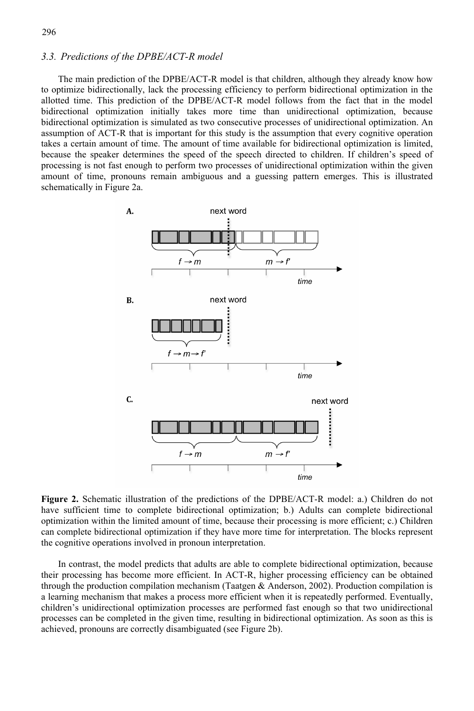#### *3.3. Predictions of the DPBE/ACT-R model*

The main prediction of the DPBE/ACT-R model is that children, although they already know how to optimize bidirectionally, lack the processing efficiency to perform bidirectional optimization in the allotted time. This prediction of the DPBE/ACT-R model follows from the fact that in the model bidirectional optimization initially takes more time than unidirectional optimization, because bidirectional optimization is simulated as two consecutive processes of unidirectional optimization. An assumption of ACT-R that is important for this study is the assumption that every cognitive operation takes a certain amount of time. The amount of time available for bidirectional optimization is limited, because the speaker determines the speed of the speech directed to children. If children's speed of processing is not fast enough to perform two processes of unidirectional optimization within the given amount of time, pronouns remain ambiguous and a guessing pattern emerges. This is illustrated schematically in Figure 2a.



**Figure 2.** Schematic illustration of the predictions of the DPBE/ACT-R model: a.) Children do not have sufficient time to complete bidirectional optimization; b.) Adults can complete bidirectional optimization within the limited amount of time, because their processing is more efficient; c.) Children can complete bidirectional optimization if they have more time for interpretation. The blocks represent the cognitive operations involved in pronoun interpretation.

In contrast, the model predicts that adults are able to complete bidirectional optimization, because their processing has become more efficient. In ACT-R, higher processing efficiency can be obtained through the production compilation mechanism (Taatgen & Anderson, 2002). Production compilation is a learning mechanism that makes a process more efficient when it is repeatedly performed. Eventually, children's unidirectional optimization processes are performed fast enough so that two unidirectional processes can be completed in the given time, resulting in bidirectional optimization. As soon as this is achieved, pronouns are correctly disambiguated (see Figure 2b).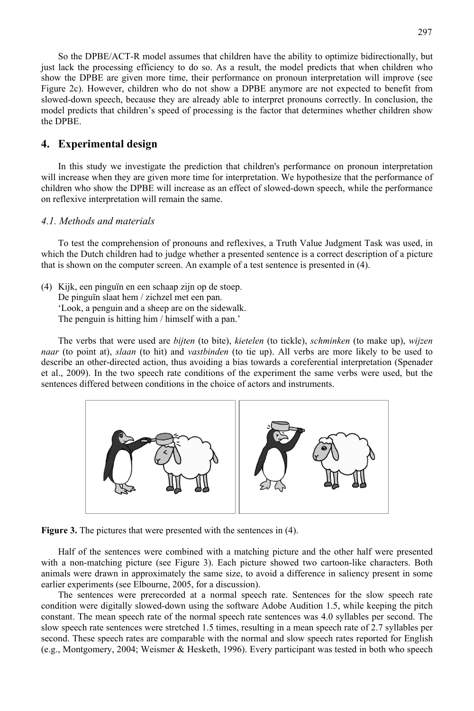So the DPBE/ACT-R model assumes that children have the ability to optimize bidirectionally, but just lack the processing efficiency to do so. As a result, the model predicts that when children who show the DPBE are given more time, their performance on pronoun interpretation will improve (see Figure 2c). However, children who do not show a DPBE anymore are not expected to benefit from slowed-down speech, because they are already able to interpret pronouns correctly. In conclusion, the model predicts that children's speed of processing is the factor that determines whether children show the DPBE.

#### **4. Experimental design**

In this study we investigate the prediction that children's performance on pronoun interpretation will increase when they are given more time for interpretation. We hypothesize that the performance of children who show the DPBE will increase as an effect of slowed-down speech, while the performance on reflexive interpretation will remain the same.

#### *4.1. Methods and materials*

To test the comprehension of pronouns and reflexives, a Truth Value Judgment Task was used, in which the Dutch children had to judge whether a presented sentence is a correct description of a picture that is shown on the computer screen. An example of a test sentence is presented in (4).

(4) Kijk, een pinguïn en een schaap zijn op de stoep. De pinguïn slaat hem / zichzel met een pan. 'Look, a penguin and a sheep are on the sidewalk. The penguin is hitting him / himself with a pan.'

The verbs that were used are *bijten* (to bite), *kietelen* (to tickle), *schminken* (to make up), *wijzen naar* (to point at), *slaan* (to hit) and *vastbinden* (to tie up). All verbs are more likely to be used to describe an other-directed action, thus avoiding a bias towards a coreferential interpretation (Spenader et al., 2009). In the two speech rate conditions of the experiment the same verbs were used, but the sentences differed between conditions in the choice of actors and instruments.



**Figure 3.** The pictures that were presented with the sentences in (4).

Half of the sentences were combined with a matching picture and the other half were presented with a non-matching picture (see Figure 3). Each picture showed two cartoon-like characters. Both animals were drawn in approximately the same size, to avoid a difference in saliency present in some earlier experiments (see Elbourne, 2005, for a discussion).

 The sentences were prerecorded at a normal speech rate. Sentences for the slow speech rate condition were digitally slowed-down using the software Adobe Audition 1.5, while keeping the pitch constant. The mean speech rate of the normal speech rate sentences was 4.0 syllables per second. The slow speech rate sentences were stretched 1.5 times, resulting in a mean speech rate of 2.7 syllables per second. These speech rates are comparable with the normal and slow speech rates reported for English (e.g., Montgomery, 2004; Weismer & Hesketh, 1996). Every participant was tested in both who speech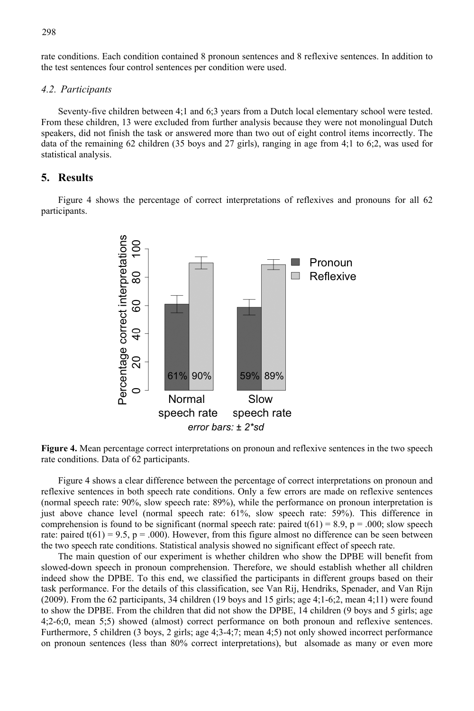rate conditions. Each condition contained 8 pronoun sentences and 8 reflexive sentences. In addition to the test sentences four control sentences per condition were used.

#### *4.2. Participants*

Seventy-five children between 4;1 and 6;3 years from a Dutch local elementary school were tested. From these children, 13 were excluded from further analysis because they were not monolingual Dutch speakers, did not finish the task or answered more than two out of eight control items incorrectly. The data of the remaining 62 children (35 boys and 27 girls), ranging in age from 4;1 to 6;2, was used for statistical analysis.

#### **5. Results**

Figure 4 shows the percentage of correct interpretations of reflexives and pronouns for all 62 participants.



**Figure 4.** Mean percentage correct interpretations on pronoun and reflexive sentences in the two speech rate conditions. Data of 62 participants.

Figure 4 shows a clear difference between the percentage of correct interpretations on pronoun and reflexive sentences in both speech rate conditions. Only a few errors are made on reflexive sentences (normal speech rate: 90%, slow speech rate: 89%), while the performance on pronoun interpretation is just above chance level (normal speech rate: 61%, slow speech rate: 59%). This difference in comprehension is found to be significant (normal speech rate: paired  $t(61) = 8.9$ ,  $p = .000$ ; slow speech rate: paired  $t(61) = 9.5$ ,  $p = .000$ . However, from this figure almost no difference can be seen between the two speech rate conditions. Statistical analysis showed no significant effect of speech rate.

The main question of our experiment is whether children who show the DPBE will benefit from slowed-down speech in pronoun comprehension. Therefore, we should establish whether all children indeed show the DPBE. To this end, we classified the participants in different groups based on their task performance. For the details of this classification, see Van Rij, Hendriks, Spenader, and Van Rijn (2009). From the 62 participants, 34 children (19 boys and 15 girls; age 4;1-6;2, mean 4;11) were found to show the DPBE. From the children that did not show the DPBE, 14 children (9 boys and 5 girls; age 4;2-6;0, mean 5;5) showed (almost) correct performance on both pronoun and reflexive sentences. Furthermore, 5 children (3 boys, 2 girls; age 4;3-4;7; mean 4;5) not only showed incorrect performance on pronoun sentences (less than 80% correct interpretations), but alsomade as many or even more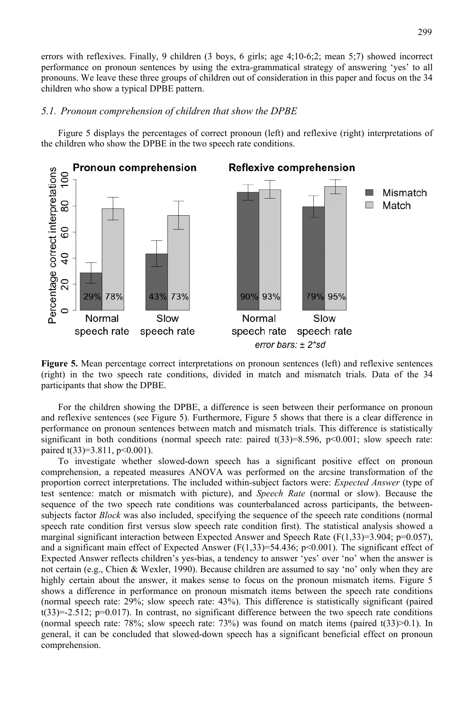errors with reflexives. Finally, 9 children (3 boys, 6 girls; age 4;10-6;2; mean 5;7) showed incorrect performance on pronoun sentences by using the extra-grammatical strategy of answering 'yes' to all pronouns. We leave these three groups of children out of consideration in this paper and focus on the 34 children who show a typical DPBE pattern.

#### *5.1. Pronoun comprehension of children that show the DPBE*

Figure 5 displays the percentages of correct pronoun (left) and reflexive (right) interpretations of the children who show the DPBE in the two speech rate conditions.



**Figure 5.** Mean percentage correct interpretations on pronoun sentences (left) and reflexive sentences (right) in the two speech rate conditions, divided in match and mismatch trials. Data of the 34 participants that show the DPBE.

For the children showing the DPBE, a difference is seen between their performance on pronoun and reflexive sentences (see Figure 5). Furthermore, Figure 5 shows that there is a clear difference in performance on pronoun sentences between match and mismatch trials. This difference is statistically significant in both conditions (normal speech rate: paired  $t(33)=8.596$ ,  $p<0.001$ ; slow speech rate: paired t(33)=3.811, p<0.001).

To investigate whether slowed-down speech has a significant positive effect on pronoun comprehension, a repeated measures ANOVA was performed on the arcsine transformation of the proportion correct interpretations. The included within-subject factors were: *Expected Answer* (type of test sentence: match or mismatch with picture), and *Speech Rate* (normal or slow). Because the sequence of the two speech rate conditions was counterbalanced across participants, the betweensubjects factor *Block* was also included, specifying the sequence of the speech rate conditions (normal speech rate condition first versus slow speech rate condition first). The statistical analysis showed a marginal significant interaction between Expected Answer and Speech Rate ( $F(1,33)=3.904$ ;  $p=0.057$ ), and a significant main effect of Expected Answer  $(F(1,33)=54.436; p<0.001)$ . The significant effect of Expected Answer reflects children's yes-bias, a tendency to answer 'yes' over 'no' when the answer is not certain (e.g., Chien & Wexler, 1990). Because children are assumed to say 'no' only when they are highly certain about the answer, it makes sense to focus on the pronoun mismatch items. Figure 5 shows a difference in performance on pronoun mismatch items between the speech rate conditions (normal speech rate: 29%; slow speech rate: 43%). This difference is statistically significant (paired  $t(33) = -2.512$ ;  $p=0.017$ ). In contrast, no significant difference between the two speech rate conditions (normal speech rate: 78%; slow speech rate: 73%) was found on match items (paired  $t(33)$  > 0.1). In general, it can be concluded that slowed-down speech has a significant beneficial effect on pronoun comprehension.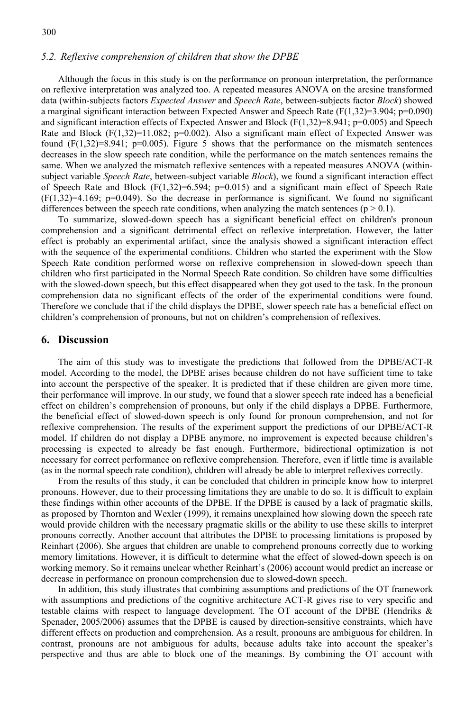#### *5.2. Reflexive comprehension of children that show the DPBE*

Although the focus in this study is on the performance on pronoun interpretation, the performance on reflexive interpretation was analyzed too. A repeated measures ANOVA on the arcsine transformed data (within-subjects factors *Expected Answer* and *Speech Rate*, between-subjects factor *Block*) showed a marginal significant interaction between Expected Answer and Speech Rate  $(F(1,32)=3.904; p=0.090)$ and significant interaction effects of Expected Answer and Block  $(F(1,32)=8.941; p=0.005)$  and Speech Rate and Block  $(F(1,32)=11.082; p=0.002)$ . Also a significant main effect of Expected Answer was found  $(F(1,32)=8.941; p=0.005)$ . Figure 5 shows that the performance on the mismatch sentences decreases in the slow speech rate condition, while the performance on the match sentences remains the same. When we analyzed the mismatch reflexive sentences with a repeated measures ANOVA (withinsubject variable *Speech Rate*, between-subject variable *Block*), we found a significant interaction effect of Speech Rate and Block  $(F(1,32)=6.594; p=0.015)$  and a significant main effect of Speech Rate  $(F(1,32)=4.169; p=0.049)$ . So the decrease in performance is significant. We found no significant differences between the speech rate conditions, when analyzing the match sentences ( $p > 0.1$ ).

To summarize, slowed-down speech has a significant beneficial effect on children's pronoun comprehension and a significant detrimental effect on reflexive interpretation. However, the latter effect is probably an experimental artifact, since the analysis showed a significant interaction effect with the sequence of the experimental conditions. Children who started the experiment with the Slow Speech Rate condition performed worse on reflexive comprehension in slowed-down speech than children who first participated in the Normal Speech Rate condition. So children have some difficulties with the slowed-down speech, but this effect disappeared when they got used to the task. In the pronoun comprehension data no significant effects of the order of the experimental conditions were found. Therefore we conclude that if the child displays the DPBE, slower speech rate has a beneficial effect on children's comprehension of pronouns, but not on children's comprehension of reflexives.

#### **6. Discussion**

The aim of this study was to investigate the predictions that followed from the DPBE/ACT-R model. According to the model, the DPBE arises because children do not have sufficient time to take into account the perspective of the speaker. It is predicted that if these children are given more time, their performance will improve. In our study, we found that a slower speech rate indeed has a beneficial effect on children's comprehension of pronouns, but only if the child displays a DPBE. Furthermore, the beneficial effect of slowed-down speech is only found for pronoun comprehension, and not for reflexive comprehension. The results of the experiment support the predictions of our DPBE/ACT-R model. If children do not display a DPBE anymore, no improvement is expected because children's processing is expected to already be fast enough. Furthermore, bidirectional optimization is not necessary for correct performance on reflexive comprehension. Therefore, even if little time is available (as in the normal speech rate condition), children will already be able to interpret reflexives correctly.

From the results of this study, it can be concluded that children in principle know how to interpret pronouns. However, due to their processing limitations they are unable to do so. It is difficult to explain these findings within other accounts of the DPBE. If the DPBE is caused by a lack of pragmatic skills, as proposed by Thornton and Wexler (1999), it remains unexplained how slowing down the speech rate would provide children with the necessary pragmatic skills or the ability to use these skills to interpret pronouns correctly. Another account that attributes the DPBE to processing limitations is proposed by Reinhart (2006). She argues that children are unable to comprehend pronouns correctly due to working memory limitations. However, it is difficult to determine what the effect of slowed-down speech is on working memory. So it remains unclear whether Reinhart's (2006) account would predict an increase or decrease in performance on pronoun comprehension due to slowed-down speech.

In addition, this study illustrates that combining assumptions and predictions of the OT framework with assumptions and predictions of the cognitive architecture ACT-R gives rise to very specific and testable claims with respect to language development. The OT account of the DPBE (Hendriks & Spenader, 2005/2006) assumes that the DPBE is caused by direction-sensitive constraints, which have different effects on production and comprehension. As a result, pronouns are ambiguous for children. In contrast, pronouns are not ambiguous for adults, because adults take into account the speaker's perspective and thus are able to block one of the meanings. By combining the OT account with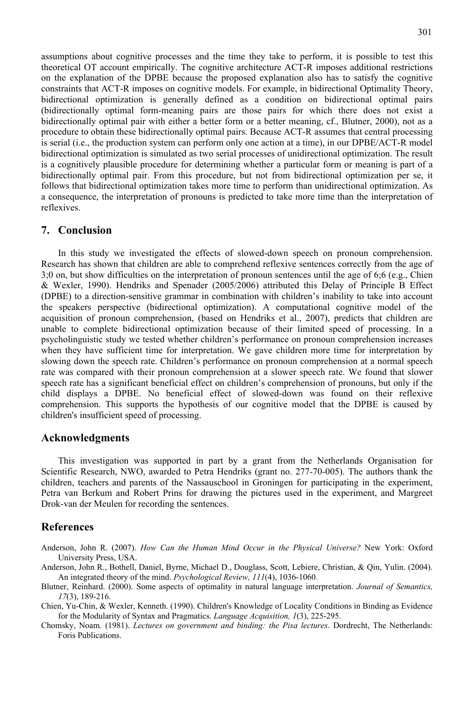assumptions about cognitive processes and the time they take to perform, it is possible to test this theoretical OT account empirically. The cognitive architecture ACT-R imposes additional restrictions on the explanation of the DPBE because the proposed explanation also has to satisfy the cognitive constraints that ACT-R imposes on cognitive models. For example, in bidirectional Optimality Theory, bidirectional optimization is generally defined as a condition on bidirectional optimal pairs (bidirectionally optimal form-meaning pairs are those pairs for which there does not exist a bidirectionally optimal pair with either a better form or a better meaning, cf., Blutner, 2000), not as a procedure to obtain these bidirectionally optimal pairs. Because ACT-R assumes that central processing is serial (i.e., the production system can perform only one action at a time), in our DPBE/ACT-R model bidirectional optimization is simulated as two serial processes of unidirectional optimization. The result is a cognitively plausible procedure for determining whether a particular form or meaning is part of a bidirectionally optimal pair. From this procedure, but not from bidirectional optimization per se, it follows that bidirectional optimization takes more time to perform than unidirectional optimization. As a consequence, the interpretation of pronouns is predicted to take more time than the interpretation of reflexives.

#### **7. Conclusion**

In this study we investigated the effects of slowed-down speech on pronoun comprehension. Research has shown that children are able to comprehend reflexive sentences correctly from the age of 3;0 on, but show difficulties on the interpretation of pronoun sentences until the age of 6;6 (e.g., Chien & Wexler, 1990). Hendriks and Spenader (2005/2006) attributed this Delay of Principle B Effect (DPBE) to a direction-sensitive grammar in combination with children's inability to take into account the speakers perspective (bidirectional optimization). A computational cognitive model of the acquisition of pronoun comprehension, (based on Hendriks et al., 2007), predicts that children are unable to complete bidirectional optimization because of their limited speed of processing. In a psycholinguistic study we tested whether children's performance on pronoun comprehension increases when they have sufficient time for interpretation. We gave children more time for interpretation by slowing down the speech rate. Children's performance on pronoun comprehension at a normal speech rate was compared with their pronoun comprehension at a slower speech rate. We found that slower speech rate has a significant beneficial effect on children's comprehension of pronouns, but only if the child displays a DPBE. No beneficial effect of slowed-down was found on their reflexive comprehension. This supports the hypothesis of our cognitive model that the DPBE is caused by children's insufficient speed of processing.

#### **Acknowledgments**

This investigation was supported in part by a grant from the Netherlands Organisation for Scientific Research, NWO, awarded to Petra Hendriks (grant no. 277-70-005). The authors thank the children, teachers and parents of the Nassauschool in Groningen for participating in the experiment, Petra van Berkum and Robert Prins for drawing the pictures used in the experiment, and Margreet Drok-van der Meulen for recording the sentences.

#### **References**

Anderson, John R. (2007). *How Can the Human Mind Occur in the Physical Universe?* New York: Oxford University Press, USA.

Anderson, John R., Bothell, Daniel, Byrne, Michael D., Douglass, Scott, Lebiere, Christian, & Qin, Yulin. (2004). An integrated theory of the mind. *Psychological Review, 111*(4), 1036-1060.

- Blutner, Reinhard. (2000). Some aspects of optimality in natural language interpretation. *Journal of Semantics, 17*(3), 189-216.
- Chien, Yu-Chin, & Wexler, Kenneth. (1990). Children's Knowledge of Locality Conditions in Binding as Evidence for the Modularity of Syntax and Pragmatics. *Language Acquisition, 1*(3), 225-295.
- Chomsky, Noam. (1981). *Lectures on government and binding: the Pisa lectures*. Dordrecht, The Netherlands: Foris Publications.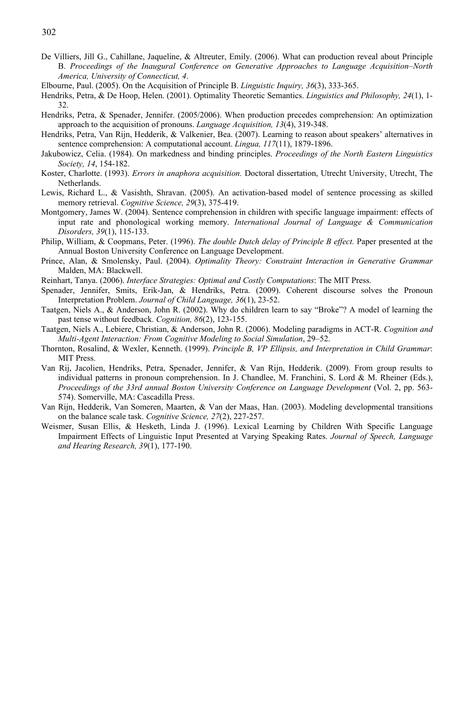- De Villiers, Jill G., Cahillane, Jaqueline, & Altreuter, Emily. (2006). What can production reveal about Principle B. *Proceedings of the Inaugural Conference on Generative Approaches to Language Acquisition–North America, University of Connecticut, 4*.
- Elbourne, Paul. (2005). On the Acquisition of Principle B. *Linguistic Inquiry, 36*(3), 333-365.
- Hendriks, Petra, & De Hoop, Helen. (2001). Optimality Theoretic Semantics. *Linguistics and Philosophy, 24*(1), 1- 32.
- Hendriks, Petra, & Spenader, Jennifer. (2005/2006). When production precedes comprehension: An optimization approach to the acquisition of pronouns. *Language Acquisition, 13*(4), 319-348.
- Hendriks, Petra, Van Rijn, Hedderik, & Valkenier, Bea. (2007). Learning to reason about speakers' alternatives in sentence comprehension: A computational account. *Lingua, 117*(11), 1879-1896.
- Jakubowicz, Celia. (1984). On markedness and binding principles. *Proceedings of the North Eastern Linguistics Society, 14*, 154-182.
- Koster, Charlotte. (1993). *Errors in anaphora acquisition.* Doctoral dissertation, Utrecht University, Utrecht, The Netherlands.
- Lewis, Richard L., & Vasishth, Shravan. (2005). An activation-based model of sentence processing as skilled memory retrieval. *Cognitive Science, 29*(3), 375-419.
- Montgomery, James W. (2004). Sentence comprehension in children with specific language impairment: effects of input rate and phonological working memory. *International Journal of Language & Communication Disorders, 39*(1), 115-133.
- Philip, William, & Coopmans, Peter. (1996). *The double Dutch delay of Principle B effect.* Paper presented at the Annual Boston University Conference on Language Development.
- Prince, Alan, & Smolensky, Paul. (2004). *Optimality Theory: Constraint Interaction in Generative Grammar*  Malden, MA: Blackwell.
- Reinhart, Tanya. (2006). *Interface Strategies: Optimal and Costly Computations*: The MIT Press.
- Spenader, Jennifer, Smits, Erik-Jan, & Hendriks, Petra. (2009). Coherent discourse solves the Pronoun Interpretation Problem. *Journal of Child Language, 36*(1), 23-52.
- Taatgen, Niels A., & Anderson, John R. (2002). Why do children learn to say "Broke"? A model of learning the past tense without feedback. *Cognition, 86*(2), 123-155.
- Taatgen, Niels A., Lebiere, Christian, & Anderson, John R. (2006). Modeling paradigms in ACT-R. *Cognition and Multi-Agent Interaction: From Cognitive Modeling to Social Simulation*, 29–52.
- Thornton, Rosalind, & Wexler, Kenneth. (1999). *Principle B, VP Ellipsis, and Interpretation in Child Grammar*: MIT Press.
- Van Rij, Jacolien, Hendriks, Petra, Spenader, Jennifer, & Van Rijn, Hedderik. (2009). From group results to individual patterns in pronoun comprehension. In J. Chandlee, M. Franchini, S. Lord & M. Rheiner (Eds.), *Proceedings of the 33rd annual Boston University Conference on Language Development* (Vol. 2, pp. 563- 574). Somerville, MA: Cascadilla Press.
- Van Rijn, Hedderik, Van Someren, Maarten, & Van der Maas, Han. (2003). Modeling developmental transitions on the balance scale task. *Cognitive Science, 27*(2), 227-257.
- Weismer, Susan Ellis, & Hesketh, Linda J. (1996). Lexical Learning by Children With Specific Language Impairment Effects of Linguistic Input Presented at Varying Speaking Rates. *Journal of Speech, Language and Hearing Research, 39*(1), 177-190.